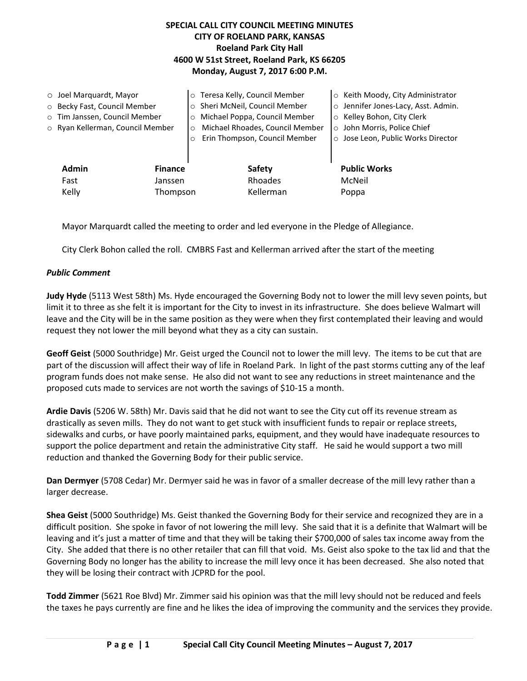### **SPECIAL CALL CITY COUNCIL MEETING MINUTES CITY OF ROELAND PARK, KANSAS Roeland Park City Hall 4600 W 51st Street, Roeland Park, KS 66205 Monday, August 7, 2017 6:00 P.M.**

| $\circ$ Joel Marquardt, Mayor  |                                  |  | o Teresa Kelly, Council Member             |  | ○ Keith Moody, City Administrator   |
|--------------------------------|----------------------------------|--|--------------------------------------------|--|-------------------------------------|
|                                | O Becky Fast, Council Member     |  | o Sheri McNeil, Council Member             |  | o Jennifer Jones-Lacy, Asst. Admin. |
|                                | o Tim Janssen, Council Member    |  | Michael Poppa, Council Member<br>$\circ$   |  | ○ Kelley Bohon, City Clerk          |
|                                | ○ Ryan Kellerman, Council Member |  | Michael Rhoades, Council Member<br>$\circ$ |  | o John Morris, Police Chief         |
|                                |                                  |  | Erin Thompson, Council Member              |  | ○ Jose Leon, Public Works Director  |
|                                |                                  |  |                                            |  |                                     |
| <b>Admin</b><br><b>Finance</b> |                                  |  | Safety                                     |  | <b>Public Works</b>                 |
|                                | Fast<br>Janssen                  |  | Rhoades                                    |  | McNeil                              |
| Kelly<br>Thompson              |                                  |  | Kellerman                                  |  | Poppa                               |
|                                |                                  |  |                                            |  |                                     |

Mayor Marquardt called the meeting to order and led everyone in the Pledge of Allegiance.

City Clerk Bohon called the roll. CMBRS Fast and Kellerman arrived after the start of the meeting

#### *Public Comment*

**Judy Hyde** (5113 West 58th) Ms. Hyde encouraged the Governing Body not to lower the mill levy seven points, but limit it to three as she felt it is important for the City to invest in its infrastructure. She does believe Walmart will leave and the City will be in the same position as they were when they first contemplated their leaving and would request they not lower the mill beyond what they as a city can sustain.

**Geoff Geist** (5000 Southridge) Mr. Geist urged the Council not to lower the mill levy. The items to be cut that are part of the discussion will affect their way of life in Roeland Park. In light of the past storms cutting any of the leaf program funds does not make sense. He also did not want to see any reductions in street maintenance and the proposed cuts made to services are not worth the savings of \$10-15 a month.

**Ardie Davis** (5206 W. 58th) Mr. Davis said that he did not want to see the City cut off its revenue stream as drastically as seven mills. They do not want to get stuck with insufficient funds to repair or replace streets, sidewalks and curbs, or have poorly maintained parks, equipment, and they would have inadequate resources to support the police department and retain the administrative City staff. He said he would support a two mill reduction and thanked the Governing Body for their public service.

**Dan Dermyer** (5708 Cedar) Mr. Dermyer said he was in favor of a smaller decrease of the mill levy rather than a larger decrease.

**Shea Geist** (5000 Southridge) Ms. Geist thanked the Governing Body for their service and recognized they are in a difficult position. She spoke in favor of not lowering the mill levy. She said that it is a definite that Walmart will be leaving and it's just a matter of time and that they will be taking their \$700,000 of sales tax income away from the City. She added that there is no other retailer that can fill that void. Ms. Geist also spoke to the tax lid and that the Governing Body no longer has the ability to increase the mill levy once it has been decreased. She also noted that they will be losing their contract with JCPRD for the pool.

**Todd Zimmer** (5621 Roe Blvd) Mr. Zimmer said his opinion was that the mill levy should not be reduced and feels the taxes he pays currently are fine and he likes the idea of improving the community and the services they provide.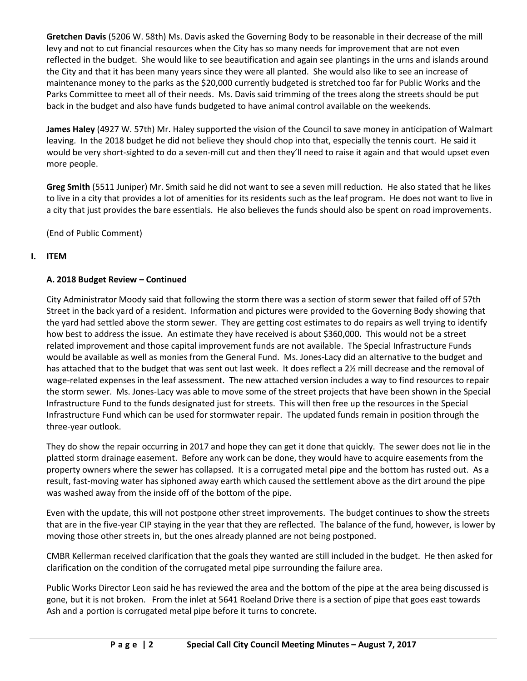**Gretchen Davis** (5206 W. 58th) Ms. Davis asked the Governing Body to be reasonable in their decrease of the mill levy and not to cut financial resources when the City has so many needs for improvement that are not even reflected in the budget. She would like to see beautification and again see plantings in the urns and islands around the City and that it has been many years since they were all planted. She would also like to see an increase of maintenance money to the parks as the \$20,000 currently budgeted is stretched too far for Public Works and the Parks Committee to meet all of their needs. Ms. Davis said trimming of the trees along the streets should be put back in the budget and also have funds budgeted to have animal control available on the weekends.

**James Haley** (4927 W. 57th) Mr. Haley supported the vision of the Council to save money in anticipation of Walmart leaving. In the 2018 budget he did not believe they should chop into that, especially the tennis court. He said it would be very short-sighted to do a seven-mill cut and then they'll need to raise it again and that would upset even more people.

**Greg Smith** (5511 Juniper) Mr. Smith said he did not want to see a seven mill reduction. He also stated that he likes to live in a city that provides a lot of amenities for its residents such as the leaf program. He does not want to live in a city that just provides the bare essentials. He also believes the funds should also be spent on road improvements.

(End of Public Comment)

# **I. ITEM**

# **A. 2018 Budget Review – Continued**

City Administrator Moody said that following the storm there was a section of storm sewer that failed off of 57th Street in the back yard of a resident. Information and pictures were provided to the Governing Body showing that the yard had settled above the storm sewer. They are getting cost estimates to do repairs as well trying to identify how best to address the issue. An estimate they have received is about \$360,000. This would not be a street related improvement and those capital improvement funds are not available. The Special Infrastructure Funds would be available as well as monies from the General Fund. Ms. Jones-Lacy did an alternative to the budget and has attached that to the budget that was sent out last week. It does reflect a 2½ mill decrease and the removal of wage-related expenses in the leaf assessment. The new attached version includes a way to find resources to repair the storm sewer. Ms. Jones-Lacy was able to move some of the street projects that have been shown in the Special Infrastructure Fund to the funds designated just for streets. This will then free up the resources in the Special Infrastructure Fund which can be used for stormwater repair. The updated funds remain in position through the three-year outlook.

They do show the repair occurring in 2017 and hope they can get it done that quickly. The sewer does not lie in the platted storm drainage easement. Before any work can be done, they would have to acquire easements from the property owners where the sewer has collapsed. It is a corrugated metal pipe and the bottom has rusted out. As a result, fast-moving water has siphoned away earth which caused the settlement above as the dirt around the pipe was washed away from the inside off of the bottom of the pipe.

Even with the update, this will not postpone other street improvements. The budget continues to show the streets that are in the five-year CIP staying in the year that they are reflected. The balance of the fund, however, is lower by moving those other streets in, but the ones already planned are not being postponed.

CMBR Kellerman received clarification that the goals they wanted are still included in the budget. He then asked for clarification on the condition of the corrugated metal pipe surrounding the failure area.

Public Works Director Leon said he has reviewed the area and the bottom of the pipe at the area being discussed is gone, but it is not broken. From the inlet at 5641 Roeland Drive there is a section of pipe that goes east towards Ash and a portion is corrugated metal pipe before it turns to concrete.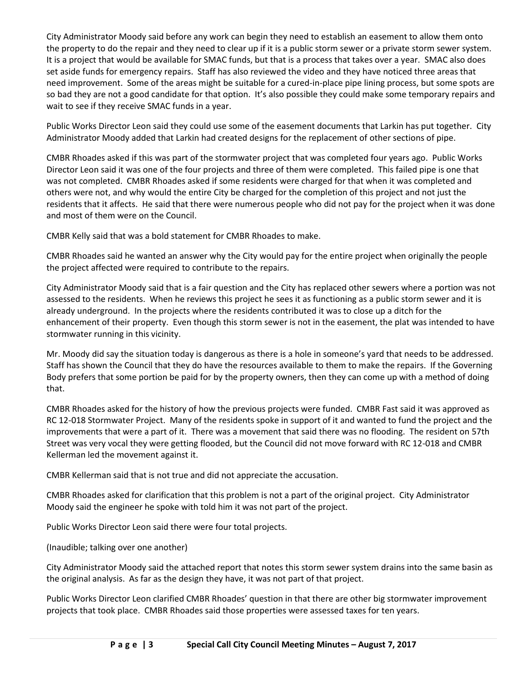City Administrator Moody said before any work can begin they need to establish an easement to allow them onto the property to do the repair and they need to clear up if it is a public storm sewer or a private storm sewer system. It is a project that would be available for SMAC funds, but that is a process that takes over a year. SMAC also does set aside funds for emergency repairs. Staff has also reviewed the video and they have noticed three areas that need improvement. Some of the areas might be suitable for a cured-in-place pipe lining process, but some spots are so bad they are not a good candidate for that option. It's also possible they could make some temporary repairs and wait to see if they receive SMAC funds in a year.

Public Works Director Leon said they could use some of the easement documents that Larkin has put together. City Administrator Moody added that Larkin had created designs for the replacement of other sections of pipe.

CMBR Rhoades asked if this was part of the stormwater project that was completed four years ago. Public Works Director Leon said it was one of the four projects and three of them were completed. This failed pipe is one that was not completed. CMBR Rhoades asked if some residents were charged for that when it was completed and others were not, and why would the entire City be charged for the completion of this project and not just the residents that it affects. He said that there were numerous people who did not pay for the project when it was done and most of them were on the Council.

CMBR Kelly said that was a bold statement for CMBR Rhoades to make.

CMBR Rhoades said he wanted an answer why the City would pay for the entire project when originally the people the project affected were required to contribute to the repairs.

City Administrator Moody said that is a fair question and the City has replaced other sewers where a portion was not assessed to the residents. When he reviews this project he sees it as functioning as a public storm sewer and it is already underground. In the projects where the residents contributed it was to close up a ditch for the enhancement of their property. Even though this storm sewer is not in the easement, the plat was intended to have stormwater running in this vicinity.

Mr. Moody did say the situation today is dangerous as there is a hole in someone's yard that needs to be addressed. Staff has shown the Council that they do have the resources available to them to make the repairs. If the Governing Body prefers that some portion be paid for by the property owners, then they can come up with a method of doing that.

CMBR Rhoades asked for the history of how the previous projects were funded. CMBR Fast said it was approved as RC 12-018 Stormwater Project. Many of the residents spoke in support of it and wanted to fund the project and the improvements that were a part of it. There was a movement that said there was no flooding. The resident on 57th Street was very vocal they were getting flooded, but the Council did not move forward with RC 12-018 and CMBR Kellerman led the movement against it.

CMBR Kellerman said that is not true and did not appreciate the accusation.

CMBR Rhoades asked for clarification that this problem is not a part of the original project. City Administrator Moody said the engineer he spoke with told him it was not part of the project.

Public Works Director Leon said there were four total projects.

(Inaudible; talking over one another)

City Administrator Moody said the attached report that notes this storm sewer system drains into the same basin as the original analysis. As far as the design they have, it was not part of that project.

Public Works Director Leon clarified CMBR Rhoades' question in that there are other big stormwater improvement projects that took place. CMBR Rhoades said those properties were assessed taxes for ten years.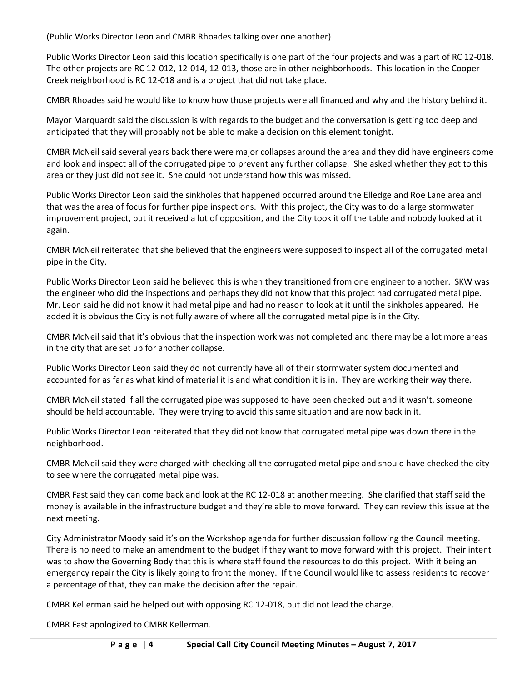(Public Works Director Leon and CMBR Rhoades talking over one another)

Public Works Director Leon said this location specifically is one part of the four projects and was a part of RC 12-018. The other projects are RC 12-012, 12-014, 12-013, those are in other neighborhoods. This location in the Cooper Creek neighborhood is RC 12-018 and is a project that did not take place.

CMBR Rhoades said he would like to know how those projects were all financed and why and the history behind it.

Mayor Marquardt said the discussion is with regards to the budget and the conversation is getting too deep and anticipated that they will probably not be able to make a decision on this element tonight.

CMBR McNeil said several years back there were major collapses around the area and they did have engineers come and look and inspect all of the corrugated pipe to prevent any further collapse. She asked whether they got to this area or they just did not see it. She could not understand how this was missed.

Public Works Director Leon said the sinkholes that happened occurred around the Elledge and Roe Lane area and that was the area of focus for further pipe inspections. With this project, the City was to do a large stormwater improvement project, but it received a lot of opposition, and the City took it off the table and nobody looked at it again.

CMBR McNeil reiterated that she believed that the engineers were supposed to inspect all of the corrugated metal pipe in the City.

Public Works Director Leon said he believed this is when they transitioned from one engineer to another. SKW was the engineer who did the inspections and perhaps they did not know that this project had corrugated metal pipe. Mr. Leon said he did not know it had metal pipe and had no reason to look at it until the sinkholes appeared. He added it is obvious the City is not fully aware of where all the corrugated metal pipe is in the City.

CMBR McNeil said that it's obvious that the inspection work was not completed and there may be a lot more areas in the city that are set up for another collapse.

Public Works Director Leon said they do not currently have all of their stormwater system documented and accounted for as far as what kind of material it is and what condition it is in. They are working their way there.

CMBR McNeil stated if all the corrugated pipe was supposed to have been checked out and it wasn't, someone should be held accountable. They were trying to avoid this same situation and are now back in it.

Public Works Director Leon reiterated that they did not know that corrugated metal pipe was down there in the neighborhood.

CMBR McNeil said they were charged with checking all the corrugated metal pipe and should have checked the city to see where the corrugated metal pipe was.

CMBR Fast said they can come back and look at the RC 12-018 at another meeting. She clarified that staff said the money is available in the infrastructure budget and they're able to move forward. They can review this issue at the next meeting.

City Administrator Moody said it's on the Workshop agenda for further discussion following the Council meeting. There is no need to make an amendment to the budget if they want to move forward with this project. Their intent was to show the Governing Body that this is where staff found the resources to do this project. With it being an emergency repair the City is likely going to front the money. If the Council would like to assess residents to recover a percentage of that, they can make the decision after the repair.

CMBR Kellerman said he helped out with opposing RC 12-018, but did not lead the charge.

CMBR Fast apologized to CMBR Kellerman.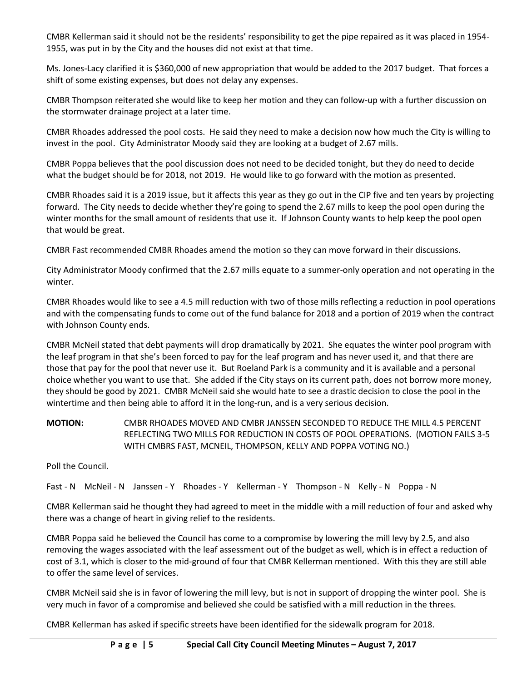CMBR Kellerman said it should not be the residents' responsibility to get the pipe repaired as it was placed in 1954- 1955, was put in by the City and the houses did not exist at that time.

Ms. Jones-Lacy clarified it is \$360,000 of new appropriation that would be added to the 2017 budget. That forces a shift of some existing expenses, but does not delay any expenses.

CMBR Thompson reiterated she would like to keep her motion and they can follow-up with a further discussion on the stormwater drainage project at a later time.

CMBR Rhoades addressed the pool costs. He said they need to make a decision now how much the City is willing to invest in the pool. City Administrator Moody said they are looking at a budget of 2.67 mills.

CMBR Poppa believes that the pool discussion does not need to be decided tonight, but they do need to decide what the budget should be for 2018, not 2019. He would like to go forward with the motion as presented.

CMBR Rhoades said it is a 2019 issue, but it affects this year as they go out in the CIP five and ten years by projecting forward. The City needs to decide whether they're going to spend the 2.67 mills to keep the pool open during the winter months for the small amount of residents that use it. If Johnson County wants to help keep the pool open that would be great.

CMBR Fast recommended CMBR Rhoades amend the motion so they can move forward in their discussions.

City Administrator Moody confirmed that the 2.67 mills equate to a summer-only operation and not operating in the winter.

CMBR Rhoades would like to see a 4.5 mill reduction with two of those mills reflecting a reduction in pool operations and with the compensating funds to come out of the fund balance for 2018 and a portion of 2019 when the contract with Johnson County ends.

CMBR McNeil stated that debt payments will drop dramatically by 2021. She equates the winter pool program with the leaf program in that she's been forced to pay for the leaf program and has never used it, and that there are those that pay for the pool that never use it. But Roeland Park is a community and it is available and a personal choice whether you want to use that. She added if the City stays on its current path, does not borrow more money, they should be good by 2021. CMBR McNeil said she would hate to see a drastic decision to close the pool in the wintertime and then being able to afford it in the long-run, and is a very serious decision.

**MOTION:** CMBR RHOADES MOVED AND CMBR JANSSEN SECONDED TO REDUCE THE MILL 4.5 PERCENT REFLECTING TWO MILLS FOR REDUCTION IN COSTS OF POOL OPERATIONS. (MOTION FAILS 3-5 WITH CMBRS FAST, MCNEIL, THOMPSON, KELLY AND POPPA VOTING NO.)

Poll the Council.

Fast - N McNeil - N Janssen - Y Rhoades - Y Kellerman - Y Thompson - N Kelly - N Poppa - N

CMBR Kellerman said he thought they had agreed to meet in the middle with a mill reduction of four and asked why there was a change of heart in giving relief to the residents.

CMBR Poppa said he believed the Council has come to a compromise by lowering the mill levy by 2.5, and also removing the wages associated with the leaf assessment out of the budget as well, which is in effect a reduction of cost of 3.1, which is closer to the mid-ground of four that CMBR Kellerman mentioned. With this they are still able to offer the same level of services.

CMBR McNeil said she is in favor of lowering the mill levy, but is not in support of dropping the winter pool. She is very much in favor of a compromise and believed she could be satisfied with a mill reduction in the threes.

CMBR Kellerman has asked if specific streets have been identified for the sidewalk program for 2018.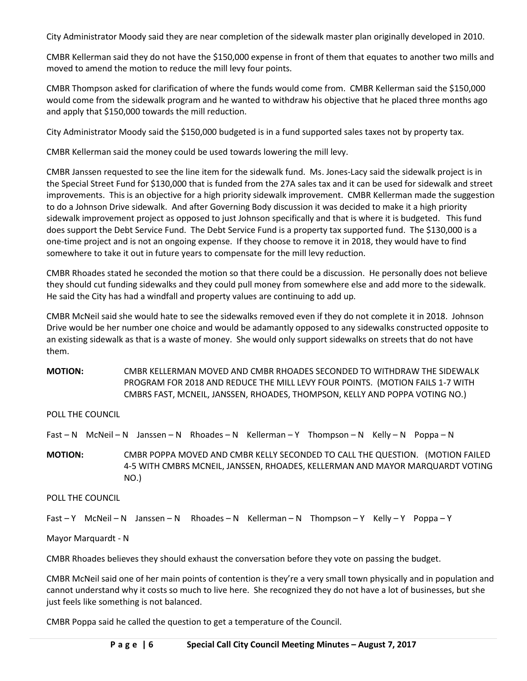City Administrator Moody said they are near completion of the sidewalk master plan originally developed in 2010.

CMBR Kellerman said they do not have the \$150,000 expense in front of them that equates to another two mills and moved to amend the motion to reduce the mill levy four points.

CMBR Thompson asked for clarification of where the funds would come from. CMBR Kellerman said the \$150,000 would come from the sidewalk program and he wanted to withdraw his objective that he placed three months ago and apply that \$150,000 towards the mill reduction.

City Administrator Moody said the \$150,000 budgeted is in a fund supported sales taxes not by property tax.

CMBR Kellerman said the money could be used towards lowering the mill levy.

CMBR Janssen requested to see the line item for the sidewalk fund. Ms. Jones-Lacy said the sidewalk project is in the Special Street Fund for \$130,000 that is funded from the 27A sales tax and it can be used for sidewalk and street improvements. This is an objective for a high priority sidewalk improvement. CMBR Kellerman made the suggestion to do a Johnson Drive sidewalk. And after Governing Body discussion it was decided to make it a high priority sidewalk improvement project as opposed to just Johnson specifically and that is where it is budgeted. This fund does support the Debt Service Fund. The Debt Service Fund is a property tax supported fund. The \$130,000 is a one-time project and is not an ongoing expense. If they choose to remove it in 2018, they would have to find somewhere to take it out in future years to compensate for the mill levy reduction.

CMBR Rhoades stated he seconded the motion so that there could be a discussion. He personally does not believe they should cut funding sidewalks and they could pull money from somewhere else and add more to the sidewalk. He said the City has had a windfall and property values are continuing to add up.

CMBR McNeil said she would hate to see the sidewalks removed even if they do not complete it in 2018. Johnson Drive would be her number one choice and would be adamantly opposed to any sidewalks constructed opposite to an existing sidewalk as that is a waste of money. She would only support sidewalks on streets that do not have them.

**MOTION:** CMBR KELLERMAN MOVED AND CMBR RHOADES SECONDED TO WITHDRAW THE SIDEWALK PROGRAM FOR 2018 AND REDUCE THE MILL LEVY FOUR POINTS. (MOTION FAILS 1-7 WITH CMBRS FAST, MCNEIL, JANSSEN, RHOADES, THOMPSON, KELLY AND POPPA VOTING NO.)

POLL THE COUNCIL

Fast – N McNeil – N Janssen – N Rhoades – N Kellerman – Y Thompson – N Kelly – N Poppa – N

**MOTION:** CMBR POPPA MOVED AND CMBR KELLY SECONDED TO CALL THE QUESTION. (MOTION FAILED 4-5 WITH CMBRS MCNEIL, JANSSEN, RHOADES, KELLERMAN AND MAYOR MARQUARDT VOTING NO.)

POLL THE COUNCIL

Fast – Y McNeil – N Janssen – N Rhoades – N Kellerman – N Thompson – Y Kelly – Y Poppa – Y

Mayor Marquardt - N

CMBR Rhoades believes they should exhaust the conversation before they vote on passing the budget.

CMBR McNeil said one of her main points of contention is they're a very small town physically and in population and cannot understand why it costs so much to live here. She recognized they do not have a lot of businesses, but she just feels like something is not balanced.

CMBR Poppa said he called the question to get a temperature of the Council.